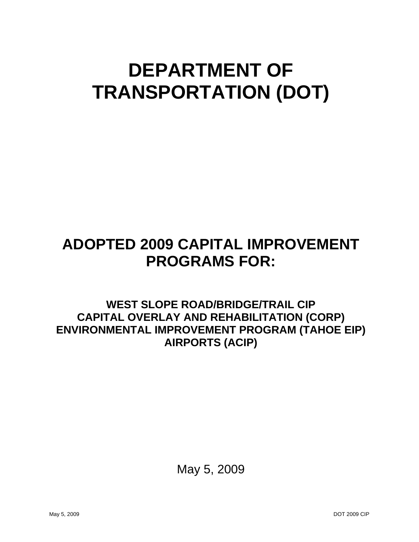## **DEPARTMENT OF TRANSPORTATION (DOT)**

## **ADOPTED 2009 CAPITAL IMPROVEMENT PROGRAMS FOR:**

**WEST SLOPE ROAD/BRIDGE/TRAIL CIP CAPITAL OVERLAY AND REHABILITATION (CORP) ENVIRONMENTAL IMPROVEMENT PROGRAM (TAHOE EIP) AIRPORTS (ACIP)**

May 5, 2009